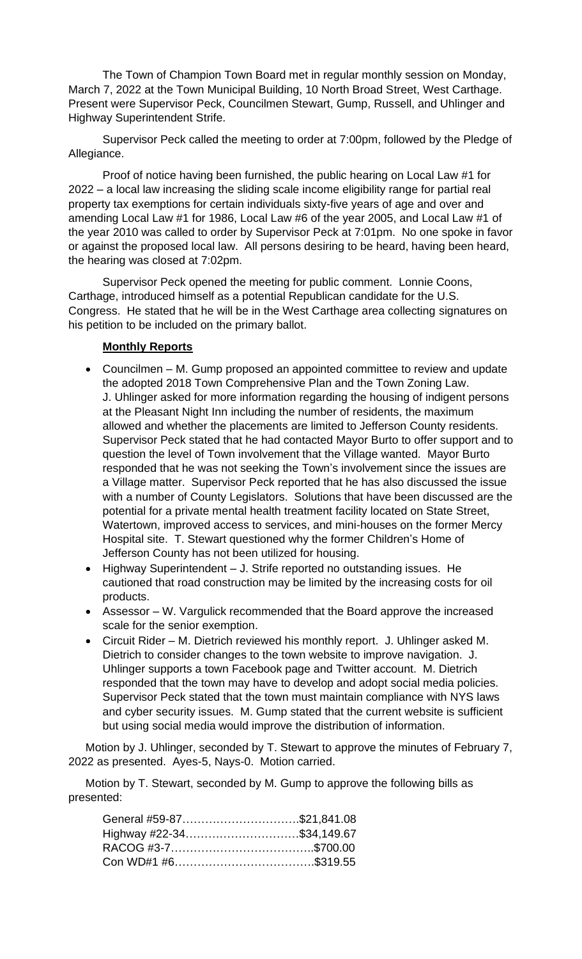The Town of Champion Town Board met in regular monthly session on Monday, March 7, 2022 at the Town Municipal Building, 10 North Broad Street, West Carthage. Present were Supervisor Peck, Councilmen Stewart, Gump, Russell, and Uhlinger and Highway Superintendent Strife.

Supervisor Peck called the meeting to order at 7:00pm, followed by the Pledge of Allegiance.

Proof of notice having been furnished, the public hearing on Local Law #1 for 2022 – a local law increasing the sliding scale income eligibility range for partial real property tax exemptions for certain individuals sixty-five years of age and over and amending Local Law #1 for 1986, Local Law #6 of the year 2005, and Local Law #1 of the year 2010 was called to order by Supervisor Peck at 7:01pm. No one spoke in favor or against the proposed local law. All persons desiring to be heard, having been heard, the hearing was closed at 7:02pm.

Supervisor Peck opened the meeting for public comment. Lonnie Coons, Carthage, introduced himself as a potential Republican candidate for the U.S. Congress. He stated that he will be in the West Carthage area collecting signatures on his petition to be included on the primary ballot.

## **Monthly Reports**

- Councilmen M. Gump proposed an appointed committee to review and update the adopted 2018 Town Comprehensive Plan and the Town Zoning Law. J. Uhlinger asked for more information regarding the housing of indigent persons at the Pleasant Night Inn including the number of residents, the maximum allowed and whether the placements are limited to Jefferson County residents. Supervisor Peck stated that he had contacted Mayor Burto to offer support and to question the level of Town involvement that the Village wanted. Mayor Burto responded that he was not seeking the Town's involvement since the issues are a Village matter. Supervisor Peck reported that he has also discussed the issue with a number of County Legislators. Solutions that have been discussed are the potential for a private mental health treatment facility located on State Street, Watertown, improved access to services, and mini-houses on the former Mercy Hospital site. T. Stewart questioned why the former Children's Home of Jefferson County has not been utilized for housing.
- Highway Superintendent J. Strife reported no outstanding issues. He cautioned that road construction may be limited by the increasing costs for oil products.
- Assessor W. Vargulick recommended that the Board approve the increased scale for the senior exemption.
- Circuit Rider M. Dietrich reviewed his monthly report. J. Uhlinger asked M. Dietrich to consider changes to the town website to improve navigation. J. Uhlinger supports a town Facebook page and Twitter account. M. Dietrich responded that the town may have to develop and adopt social media policies. Supervisor Peck stated that the town must maintain compliance with NYS laws and cyber security issues. M. Gump stated that the current website is sufficient but using social media would improve the distribution of information.

Motion by J. Uhlinger, seconded by T. Stewart to approve the minutes of February 7, 2022 as presented. Ayes-5, Nays-0. Motion carried.

Motion by T. Stewart, seconded by M. Gump to approve the following bills as presented:

| General #59-87\$21,841.08 |  |
|---------------------------|--|
| Highway #22-34\$34,149.67 |  |
|                           |  |
|                           |  |